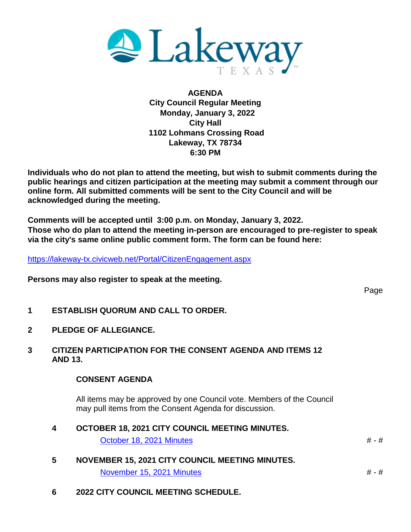

**AGENDA City Council Regular Meeting Monday, January 3, 2022 City Hall 1102 Lohmans Crossing Road Lakeway, TX 78734 6:30 PM**

**Individuals who do not plan to attend the meeting, but wish to submit comments during the public hearings and citizen participation at the meeting may submit a comment through our online form. All submitted comments will be sent to the City Council and will be acknowledged during the meeting.**

**Comments will be accepted until 3:00 p.m. on Monday, January 3, 2022. Those who do plan to attend the meeting in-person are encouraged to pre-register to speak via the city's same online public comment form. The form can be found here:**

<https://lakeway-tx.civicweb.net/Portal/CitizenEngagement.aspx>

**Persons may also register to speak at the meeting.**

Page

- **1 ESTABLISH QUORUM AND CALL TO ORDER.**
- **2 PLEDGE OF ALLEGIANCE.**
- **3 CITIZEN PARTICIPATION FOR THE CONSENT AGENDA AND ITEMS 12 AND 13.**

#### **CONSENT AGENDA**

All items may be approved by one Council vote. Members of the Council may pull items from the Consent Agenda for discussion.

- **4 OCTOBER 18, 2021 CITY COUNCIL MEETING MINUTES.** [October 18, 2021 Minutes](http://lakeway-tx.civicweb.net/document/12952/2021-10-18%20Regular%20Session.pdf?handle=86513DE6D3504A2B84AF8B4F08723E85) # - #
- **5 NOVEMBER 15, 2021 CITY COUNCIL MEETING MINUTES.** [November 15, 2021 Minutes](http://lakeway-tx.civicweb.net/document/12789/2021-11-15%20Regular%20Session.pdf?handle=5EC715562FA64AEBB83DCF77AAA1ACC9)  $# - #$
- **6 2022 CITY COUNCIL MEETING SCHEDULE.**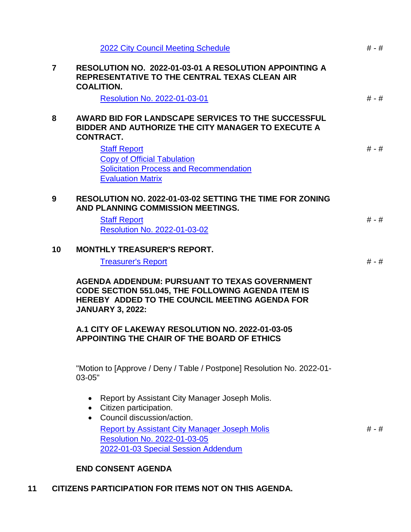|                | <b>2022 City Council Meeting Schedule</b>                                                                                                                                                      | $# - #$ |
|----------------|------------------------------------------------------------------------------------------------------------------------------------------------------------------------------------------------|---------|
| $\overline{7}$ | <b>RESOLUTION NO. 2022-01-03-01 A RESOLUTION APPOINTING A</b><br>REPRESENTATIVE TO THE CENTRAL TEXAS CLEAN AIR<br><b>COALITION.</b>                                                            |         |
|                | Resolution No. 2022-01-03-01                                                                                                                                                                   | $# - #$ |
| 8              | <b>AWARD BID FOR LANDSCAPE SERVICES TO THE SUCCESSFUL</b><br>BIDDER AND AUTHORIZE THE CITY MANAGER TO EXECUTE A<br><b>CONTRACT.</b>                                                            |         |
|                | <b>Staff Report</b><br><b>Copy of Official Tabulation</b><br><b>Solicitation Process and Recommendation</b><br><b>Evaluation Matrix</b>                                                        | $# - #$ |
| 9              | <b>RESOLUTION NO. 2022-01-03-02 SETTING THE TIME FOR ZONING</b><br>AND PLANNING COMMISSION MEETINGS.                                                                                           |         |
|                | <b>Staff Report</b><br>Resolution No. 2022-01-03-02                                                                                                                                            | $# - #$ |
| 10             | <b>MONTHLY TREASURER'S REPORT.</b>                                                                                                                                                             |         |
|                | <b>Treasurer's Report</b>                                                                                                                                                                      | $# - #$ |
|                |                                                                                                                                                                                                |         |
|                | <b>AGENDA ADDENDUM: PURSUANT TO TEXAS GOVERNMENT</b><br><b>CODE SECTION 551.045, THE FOLLOWING AGENDA ITEM IS</b><br>HEREBY ADDED TO THE COUNCIL MEETING AGENDA FOR<br><b>JANUARY 3, 2022:</b> |         |
|                | A.1 CITY OF LAKEWAY RESOLUTION NO. 2022-01-03-05<br>APPOINTING THE CHAIR OF THE BOARD OF ETHICS                                                                                                |         |
|                | "Motion to [Approve / Deny / Table / Postpone] Resolution No. 2022-01-<br>03-05"                                                                                                               |         |
|                | Report by Assistant City Manager Joseph Molis.<br>$\bullet$<br>• Citizen participation.                                                                                                        |         |
|                | • Council discussion/action.<br><b>Report by Assistant City Manager Joseph Molis</b><br>Resolution No. 2022-01-03-05<br>2022-01-03 Special Session Addendum                                    | # - #   |

# **11 CITIZENS PARTICIPATION FOR ITEMS NOT ON THIS AGENDA.**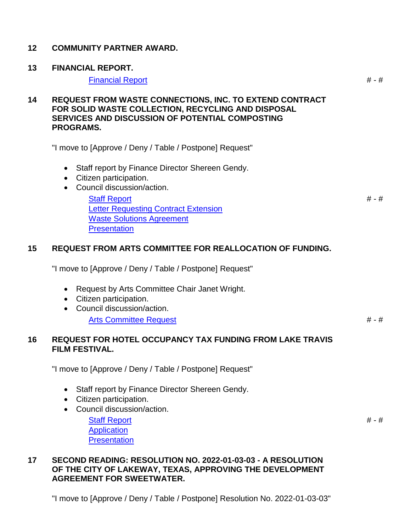### **12 COMMUNITY PARTNER AWARD.**

### **13 FINANCIAL REPORT.**

#### [Financial Report](http://lakeway-tx.civicweb.net/document/13010/Financial%20Report.pdf?handle=D1FE754B99B5468BB2CA005C5CD3C0B5) **# - #** - #

**14 REQUEST FROM WASTE CONNECTIONS, INC. TO EXTEND CONTRACT FOR SOLID WASTE COLLECTION, RECYCLING AND DISPOSAL SERVICES AND DISCUSSION OF POTENTIAL COMPOSTING PROGRAMS.**

"I move to [Approve / Deny / Table / Postpone] Request"

- Staff report by Finance Director Shereen Gendy.
- Citizen participation.
- Council discussion/action.

[Staff Report](http://lakeway-tx.civicweb.net/document/13002/Staff%20Report%20for%20Solid%20Waste%20Contract%20Extension.pdf?handle=FFD6B410B5A54A718012B8E7ECBA67A5) [Letter Requesting Contract Extension](http://lakeway-tx.civicweb.net/document/13003/Letter%20to%20City%20of%20Lakeway%20-%20Requesting%20Contract%20Ex.pdf?handle=C777D30716E8463D9A94CDBD2BC50A9C) [Waste Solutions Agreement](http://lakeway-tx.civicweb.net/document/13004/Waste%20Solutions%20Agreement.pdf?handle=795E1745DD734D7DA3E271C7907CB6AF) **[Presentation](http://lakeway-tx.civicweb.net/document/13005/Waste%20Connections-Lakeway%20Council%20Update%20(20211220.pdf?handle=8B45F256A2E540479C7840A9ABD2163F)** 

## **15 REQUEST FROM ARTS COMMITTEE FOR REALLOCATION OF FUNDING.**

"I move to [Approve / Deny / Table / Postpone] Request"

- Request by Arts Committee Chair Janet Wright.
- Citizen participation.
- Council discussion/action. [Arts Committee Request](http://lakeway-tx.civicweb.net/document/12802/Arts%20Committee_budget%20reallocation%20request.pdf?handle=1660031B43B04C7989B7EC8A9CA5F5CE) # - #

## **16 REQUEST FOR HOTEL OCCUPANCY TAX FUNDING FROM LAKE TRAVIS FILM FESTIVAL.**

"I move to [Approve / Deny / Table / Postpone] Request"

- Staff report by Finance Director Shereen Gendy.
- Citizen participation.
- Council discussion/action.

[Staff Report](http://lakeway-tx.civicweb.net/document/12947/Staff%20Report%20for%20HOT%20tax%20funding%20-%20LTFF%20.pdf?handle=89A688A158894EEA8B442D12D360C750) **[Application](http://lakeway-tx.civicweb.net/document/12948/Application%20LTFF.pdf?handle=DB2201D7ADA2442EA27060ACAC8752EA) [Presentation](http://lakeway-tx.civicweb.net/document/13092/2022%20Lakeway%20City%20Council%2012.20.21%20LTFF%20Presentati.pdf?handle=841F3B66EE204EF399B026E380ED14F4)** 

### **17 SECOND READING: RESOLUTION NO. 2022-01-03-03 - A RESOLUTION OF THE CITY OF LAKEWAY, TEXAS, APPROVING THE DEVELOPMENT AGREEMENT FOR SWEETWATER.**

"I move to [Approve / Deny / Table / Postpone] Resolution No. 2022-01-03-03"

# - #

# - #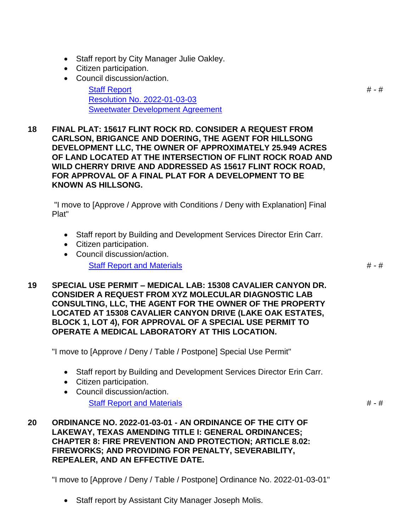- Staff report by City Manager Julie Oakley.
- Citizen participation.
- Council discussion/action.

[Staff Report](http://lakeway-tx.civicweb.net/document/13007/Staff%20Report%20Sweetwater.pdf?handle=D514758C96C14D1DB584DA250D0C2E93) [Resolution No. 2022-01-03-03](http://lakeway-tx.civicweb.net/document/13008/2022-01-03-03%20Sweetwater%20Dev%20Agmt.pdf?handle=D1CBCB62E5EB43D386B0F50B7CD0EDE8) [Sweetwater Development Agreement](http://lakeway-tx.civicweb.net/document/13009/Lakeway%20Sweetwater%20Development%20Agreement.pdf?handle=3865EB79B2EA43F6A9A25DED0FD84A70)

**18 FINAL PLAT: 15617 FLINT ROCK RD. CONSIDER A REQUEST FROM CARLSON, BRIGANCE AND DOERING, THE AGENT FOR HILLSONG DEVELOPMENT LLC, THE OWNER OF APPROXIMATELY 25.949 ACRES OF LAND LOCATED AT THE INTERSECTION OF FLINT ROCK ROAD AND WILD CHERRY DRIVE AND ADDRESSED AS 15617 FLINT ROCK ROAD, FOR APPROVAL OF A FINAL PLAT FOR A DEVELOPMENT TO BE KNOWN AS HILLSONG.**

"I move to [Approve / Approve with Conditions / Deny with Explanation] Final Plat"

- Staff report by Building and Development Services Director Erin Carr.
- Citizen participation.
- Council discussion/action.

[Staff Report and Materials](http://lakeway-tx.civicweb.net/document/13011/Item%2018.pdf?handle=067B696C399241A38F07143A6F7344AC)  $# - #$ 

**19 SPECIAL USE PERMIT – MEDICAL LAB: 15308 CAVALIER CANYON DR. CONSIDER A REQUEST FROM XYZ MOLECULAR DIAGNOSTIC LAB CONSULTING, LLC, THE AGENT FOR THE OWNER OF THE PROPERTY LOCATED AT 15308 CAVALIER CANYON DRIVE (LAKE OAK ESTATES, BLOCK 1, LOT 4), FOR APPROVAL OF A SPECIAL USE PERMIT TO OPERATE A MEDICAL LABORATORY AT THIS LOCATION.**

"I move to [Approve / Deny / Table / Postpone] Special Use Permit"

- Staff report by Building and Development Services Director Erin Carr.
- Citizen participation.
- Council discussion/action. [Staff Report and Materials](http://lakeway-tx.civicweb.net/document/13015/Item%2019.pdf?handle=23F4A27F05CC4555BD13AB9EFFB22F55) # - #

**20 ORDINANCE NO. 2022-01-03-01 - AN ORDINANCE OF THE CITY OF LAKEWAY, TEXAS AMENDING TITLE I: GENERAL ORDINANCES; CHAPTER 8: FIRE PREVENTION AND PROTECTION; ARTICLE 8.02: FIREWORKS; AND PROVIDING FOR PENALTY, SEVERABILITY, REPEALER, AND AN EFFECTIVE DATE.**

"I move to [Approve / Deny / Table / Postpone] Ordinance No. 2022-01-03-01"

• Staff report by Assistant City Manager Joseph Molis.

# - #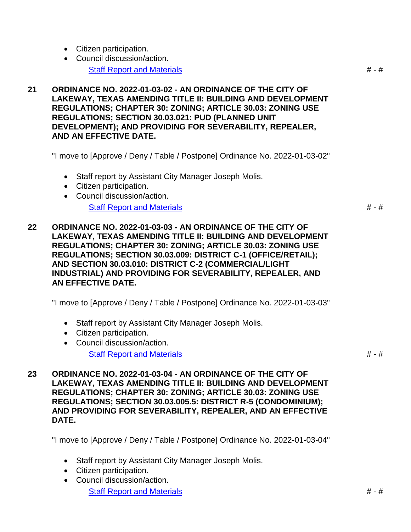- Citizen participation.
- Council discussion/action. [Staff Report and Materials](http://lakeway-tx.civicweb.net/document/13016/Item%2020.pdf?handle=CC8DD1FA7FDD4690A76CE70E7D021D2A) # - #
- **21 ORDINANCE NO. 2022-01-03-02 - AN ORDINANCE OF THE CITY OF LAKEWAY, TEXAS AMENDING TITLE II: BUILDING AND DEVELOPMENT REGULATIONS; CHAPTER 30: ZONING; ARTICLE 30.03: ZONING USE REGULATIONS; SECTION 30.03.021: PUD (PLANNED UNIT DEVELOPMENT); AND PROVIDING FOR SEVERABILITY, REPEALER, AND AN EFFECTIVE DATE.**

"I move to [Approve / Deny / Table / Postpone] Ordinance No. 2022-01-03-02"

- Staff report by Assistant City Manager Joseph Molis.
- Citizen participation.
- Council discussion/action.

[Staff Report and Materials](http://lakeway-tx.civicweb.net/document/13017/Item%2021.pdf?handle=D1DF6C619F7B42698FF189377700BDFA)  $# - #$ 

**22 ORDINANCE NO. 2022-01-03-03 - AN ORDINANCE OF THE CITY OF LAKEWAY, TEXAS AMENDING TITLE II: BUILDING AND DEVELOPMENT REGULATIONS; CHAPTER 30: ZONING; ARTICLE 30.03: ZONING USE REGULATIONS; SECTION 30.03.009: DISTRICT C-1 (OFFICE/RETAIL); AND SECTION 30.03.010: DISTRICT C-2 (COMMERCIAL/LIGHT INDUSTRIAL) AND PROVIDING FOR SEVERABILITY, REPEALER, AND AN EFFECTIVE DATE.**

"I move to [Approve / Deny / Table / Postpone] Ordinance No. 2022-01-03-03"

- Staff report by Assistant City Manager Joseph Molis.
- Citizen participation.
- Council discussion/action. [Staff Report and Materials](http://lakeway-tx.civicweb.net/document/13018/Item%2022.pdf?handle=5A2BF52AF80F4BCB9EB71DEAE44B47B2) # - #  $\#$  - #  $\#$

**23 ORDINANCE NO. 2022-01-03-04 - AN ORDINANCE OF THE CITY OF LAKEWAY, TEXAS AMENDING TITLE II: BUILDING AND DEVELOPMENT REGULATIONS; CHAPTER 30: ZONING; ARTICLE 30.03: ZONING USE REGULATIONS; SECTION 30.03.005.5: DISTRICT R-5 (CONDOMINIUM); AND PROVIDING FOR SEVERABILITY, REPEALER, AND AN EFFECTIVE DATE.**

"I move to [Approve / Deny / Table / Postpone] Ordinance No. 2022-01-03-04"

- Staff report by Assistant City Manager Joseph Molis.
- Citizen participation.
- Council discussion/action. [Staff Report and Materials](http://lakeway-tx.civicweb.net/document/13019/Item%2023.pdf?handle=50B7A686C9C04DDE9F55FE494C1C2835)  $# - #$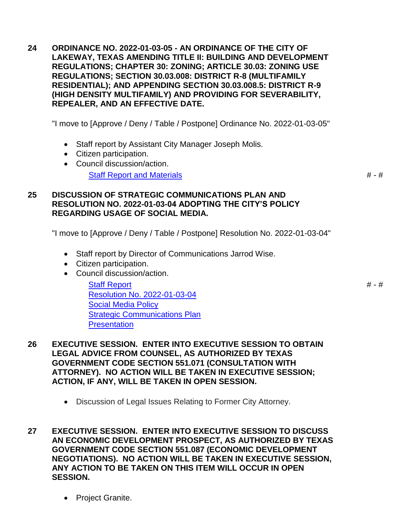**24 ORDINANCE NO. 2022-01-03-05 - AN ORDINANCE OF THE CITY OF LAKEWAY, TEXAS AMENDING TITLE II: BUILDING AND DEVELOPMENT REGULATIONS; CHAPTER 30: ZONING; ARTICLE 30.03: ZONING USE REGULATIONS; SECTION 30.03.008: DISTRICT R-8 (MULTIFAMILY RESIDENTIAL); AND APPENDING SECTION 30.03.008.5: DISTRICT R-9 (HIGH DENSITY MULTIFAMILY) AND PROVIDING FOR SEVERABILITY, REPEALER, AND AN EFFECTIVE DATE.**

"I move to [Approve / Deny / Table / Postpone] Ordinance No. 2022-01-03-05"

- Staff report by Assistant City Manager Joseph Molis.
- Citizen participation.
- Council discussion/action.

[Staff Report and Materials](http://lakeway-tx.civicweb.net/document/13020/Item%2024.pdf?handle=8E4BF8694A724BB88AC92C0DD7717F7D) # - #

# - #

### **25 DISCUSSION OF STRATEGIC COMMUNICATIONS PLAN AND RESOLUTION NO. 2022-01-03-04 ADOPTING THE CITY'S POLICY REGARDING USAGE OF SOCIAL MEDIA.**

"I move to [Approve / Deny / Table / Postpone] Resolution No. 2022-01-03-04"

- Staff report by Director of Communications Jarrod Wise.
- Citizen participation.
- Council discussion/action.

[Staff Report](http://lakeway-tx.civicweb.net/document/13058/Staff%20Report%20Jarrod.pdf?handle=B4FE98BD1BDC481B98ACF1BFD0C5D699) [Resolution No. 2022-01-03-04](http://lakeway-tx.civicweb.net/document/13059/2022-01-03-04%20Adopting%20Social%20Media%20Policy.pdf?handle=6D89ECDAF21A48E2B541112815B88389) [Social Media Policy](http://lakeway-tx.civicweb.net/document/13060/City%20of%20Lakeway%20Social%20Media%20Policy%20FINAL%2012.13.20.pdf?handle=025FCDD1696142EBA901820D415A7855) [Strategic Communications Plan](http://lakeway-tx.civicweb.net/document/13061/City%20of%20Lakeway%20Strategic%20Communications%20Plan%20FINA.pdf?handle=76BAD4D052EA45D2AD31CE9299C0FC07) **[Presentation](http://lakeway-tx.civicweb.net/document/13062/Power%20Point%20Jarrod.pdf?handle=DFBCCBDE284E4BA59FEB663667B4323A)** 

- **26 EXECUTIVE SESSION. ENTER INTO EXECUTIVE SESSION TO OBTAIN LEGAL ADVICE FROM COUNSEL, AS AUTHORIZED BY TEXAS GOVERNMENT CODE SECTION 551.071 (CONSULTATION WITH ATTORNEY). NO ACTION WILL BE TAKEN IN EXECUTIVE SESSION; ACTION, IF ANY, WILL BE TAKEN IN OPEN SESSION.**
	- Discussion of Legal Issues Relating to Former City Attorney.
- **27 EXECUTIVE SESSION. ENTER INTO EXECUTIVE SESSION TO DISCUSS AN ECONOMIC DEVELOPMENT PROSPECT, AS AUTHORIZED BY TEXAS GOVERNMENT CODE SECTION 551.087 (ECONOMIC DEVELOPMENT NEGOTIATIONS). NO ACTION WILL BE TAKEN IN EXECUTIVE SESSION, ANY ACTION TO BE TAKEN ON THIS ITEM WILL OCCUR IN OPEN SESSION.**
	- Project Granite.